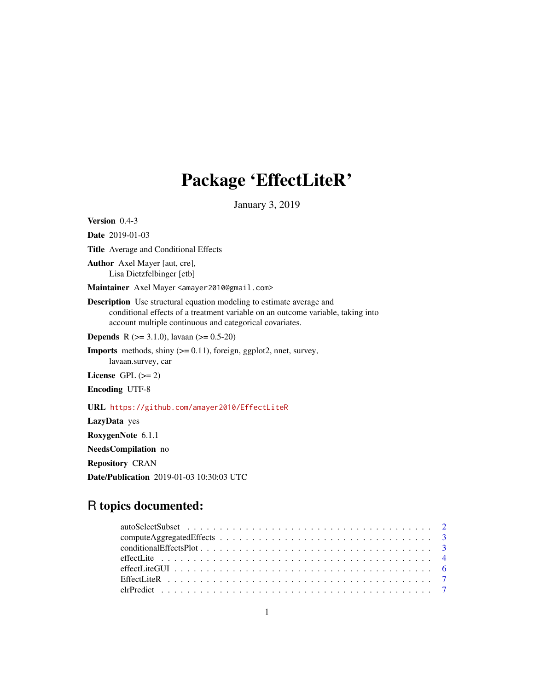# Package 'EffectLiteR'

January 3, 2019

<span id="page-0-0"></span>Version 0.4-3 Date 2019-01-03 Title Average and Conditional Effects Author Axel Mayer [aut, cre], Lisa Dietzfelbinger [ctb] Maintainer Axel Mayer <amayer2010@gmail.com> Description Use structural equation modeling to estimate average and conditional effects of a treatment variable on an outcome variable, taking into account multiple continuous and categorical covariates. **Depends** R ( $>= 3.1.0$ ), lavaan ( $>= 0.5-20$ ) **Imports** methods, shiny  $(>= 0.11)$ , foreign, ggplot2, nnet, survey, lavaan.survey, car License GPL  $(>= 2)$ Encoding UTF-8 URL <https://github.com/amayer2010/EffectLiteR> LazyData yes RoxygenNote 6.1.1

NeedsCompilation no

Repository CRAN

Date/Publication 2019-01-03 10:30:03 UTC

# R topics documented: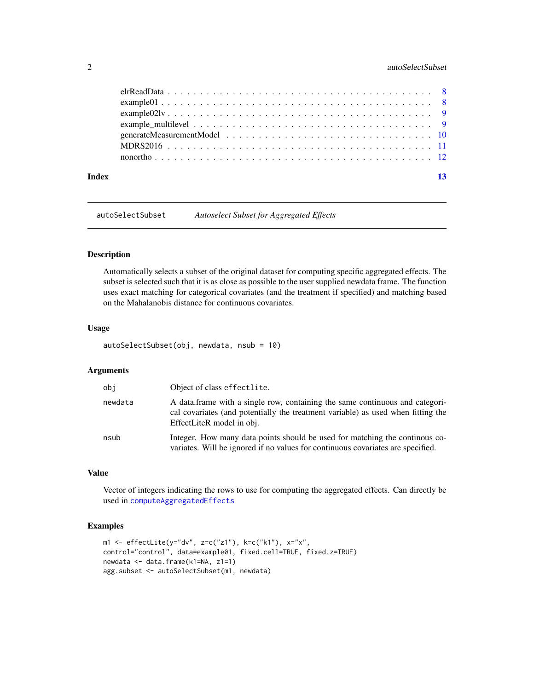#### <span id="page-1-0"></span>2 autoSelectSubset

| Index |  |  |  |  |  |  |  |  |  |  |  |  |  |  |  | 13 |
|-------|--|--|--|--|--|--|--|--|--|--|--|--|--|--|--|----|

autoSelectSubset *Autoselect Subset for Aggregated Effects*

# Description

Automatically selects a subset of the original dataset for computing specific aggregated effects. The subset is selected such that it is as close as possible to the user supplied newdata frame. The function uses exact matching for categorical covariates (and the treatment if specified) and matching based on the Mahalanobis distance for continuous covariates.

#### Usage

autoSelectSubset(obj, newdata, nsub = 10)

#### Arguments

| obj     | Object of class effectlite.                                                                                                                                                                   |
|---------|-----------------------------------------------------------------------------------------------------------------------------------------------------------------------------------------------|
| newdata | A data frame with a single row, containing the same continuous and categori-<br>cal covariates (and potentially the treatment variable) as used when fitting the<br>EffectLiteR model in obj. |
| nsub    | Integer. How many data points should be used for matching the continuous co-<br>variates. Will be ignored if no values for continuous covariates are specified.                               |

#### Value

Vector of integers indicating the rows to use for computing the aggregated effects. Can directly be used in [computeAggregatedEffects](#page-2-1)

#### Examples

```
m1 \leq -e ffectLite(y="dv", z=c("z1"), k=c("k1"), x="x",
control="control", data=example01, fixed.cell=TRUE, fixed.z=TRUE)
newdata <- data.frame(k1=NA, z1=1)
agg.subset <- autoSelectSubset(m1, newdata)
```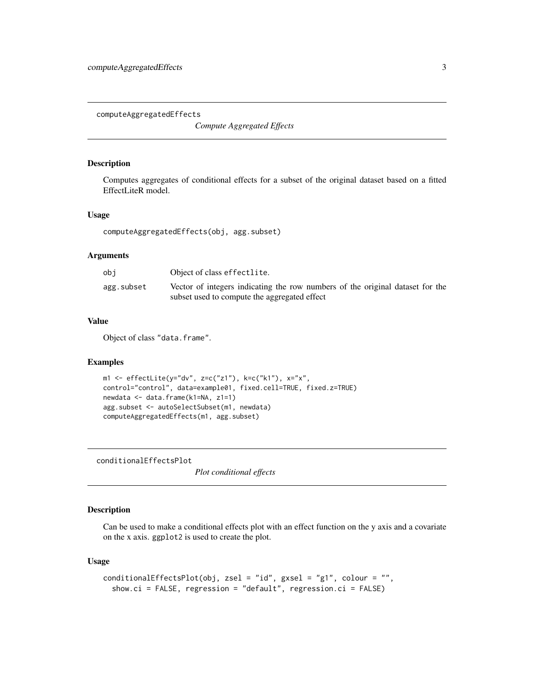<span id="page-2-1"></span><span id="page-2-0"></span>computeAggregatedEffects

*Compute Aggregated Effects*

#### Description

Computes aggregates of conditional effects for a subset of the original dataset based on a fitted EffectLiteR model.

### Usage

```
computeAggregatedEffects(obj, agg.subset)
```
# Arguments

| obi        | Object of class effectlite.                                                                                                   |
|------------|-------------------------------------------------------------------------------------------------------------------------------|
| agg.subset | Vector of integers indicating the row numbers of the original dataset for the<br>subset used to compute the aggregated effect |

# Value

Object of class "data.frame".

#### Examples

```
m1 <- effectLite(y="dv", z=c("z1"), k=c("k1"), x="x",
control="control", data=example01, fixed.cell=TRUE, fixed.z=TRUE)
newdata <- data.frame(k1=NA, z1=1)
agg.subset <- autoSelectSubset(m1, newdata)
computeAggregatedEffects(m1, agg.subset)
```
conditionalEffectsPlot

*Plot conditional effects*

#### Description

Can be used to make a conditional effects plot with an effect function on the y axis and a covariate on the x axis. ggplot2 is used to create the plot.

#### Usage

```
conditionalEffectsPlot(obj, zsel = "id", gxsel = "g1", colour = "",
  show.ci = FALSE, regression = "default", regression.ci = FALSE)
```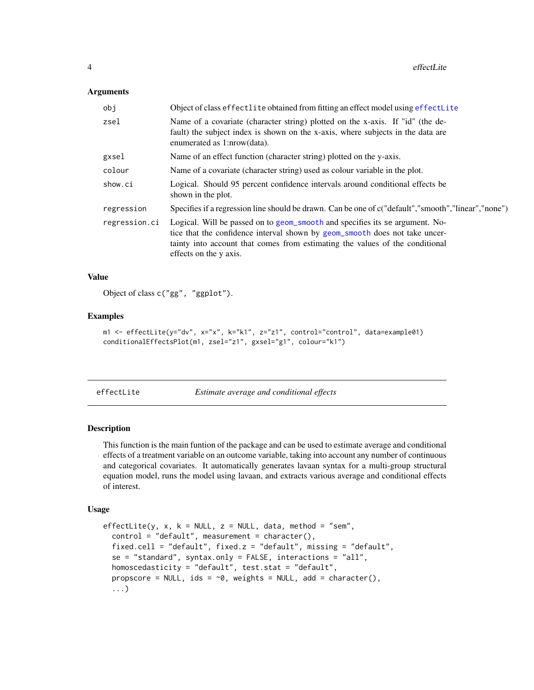#### <span id="page-3-0"></span>**Arguments**

| obj           | Object of class effectlite obtained from fitting an effect model using effectLite                                                                                                                                                                                     |
|---------------|-----------------------------------------------------------------------------------------------------------------------------------------------------------------------------------------------------------------------------------------------------------------------|
| zsel          | Name of a covariate (character string) plotted on the x-axis. If "id" (the de-<br>fault) the subject index is shown on the x-axis, where subjects in the data are<br>enumerated as 1:nrow(data).                                                                      |
| gxsel         | Name of an effect function (character string) plotted on the y-axis.                                                                                                                                                                                                  |
| colour        | Name of a covariate (character string) used as colour variable in the plot.                                                                                                                                                                                           |
| show.ci       | Logical. Should 95 percent confidence intervals around conditional effects be<br>shown in the plot.                                                                                                                                                                   |
| regression    | Specifies if a regression line should be drawn. Can be one of c("default","smooth","linear","none")                                                                                                                                                                   |
| regression.ci | Logical. Will be passed on to geom_smooth and specifies its se argument. No-<br>tice that the confidence interval shown by geom_smooth does not take uncer-<br>tainty into account that comes from estimating the values of the conditional<br>effects on the y axis. |

#### Value

Object of class c("gg", "ggplot").

# Examples

```
m1 <- effectLite(y="dv", x="x", k="k1", z="z1", control="control", data=example01)
conditionalEffectsPlot(m1, zsel="z1", gxsel="g1", colour="k1")
```
<span id="page-3-1"></span>

Estimate average and conditional effects

#### Description

This function is the main funtion of the package and can be used to estimate average and conditional effects of a treatment variable on an outcome variable, taking into account any number of continuous and categorical covariates. It automatically generates lavaan syntax for a multi-group structural equation model, runs the model using lavaan, and extracts various average and conditional effects of interest.

#### Usage

```
effectLite(y, x, k = NULL, z = NULL, data, method = "sem",
  control = "default", measurement = character(),
  fixed.cell = "default", fixed.z = "default", missing = "default",
  se = "standard", syntax.only = FALSE, interactions = "all",
  homoscedasticity = "default", test.stat = "default",
  propscore = NULL, ids = \sim 0, weights = NULL, add = character(),
  ...)
```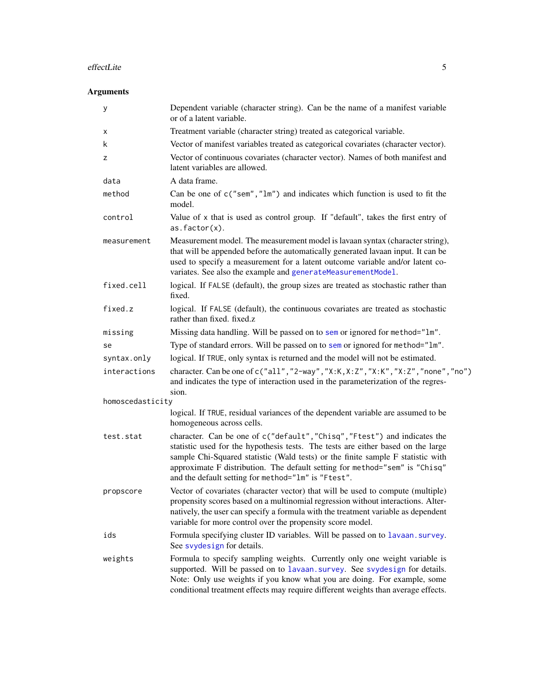#### <span id="page-4-0"></span>effectLite 5

# Arguments

| у                | Dependent variable (character string). Can be the name of a manifest variable<br>or of a latent variable.                                                                                                                                                                                                                                                                              |
|------------------|----------------------------------------------------------------------------------------------------------------------------------------------------------------------------------------------------------------------------------------------------------------------------------------------------------------------------------------------------------------------------------------|
| х                | Treatment variable (character string) treated as categorical variable.                                                                                                                                                                                                                                                                                                                 |
| k                | Vector of manifest variables treated as categorical covariates (character vector).                                                                                                                                                                                                                                                                                                     |
| z                | Vector of continuous covariates (character vector). Names of both manifest and<br>latent variables are allowed.                                                                                                                                                                                                                                                                        |
| data             | A data frame.                                                                                                                                                                                                                                                                                                                                                                          |
| method           | Can be one of $c("sem", "lm")$ and indicates which function is used to fit the<br>model.                                                                                                                                                                                                                                                                                               |
| control          | Value of x that is used as control group. If "default", takes the first entry of<br>$as.factor(x)$ .                                                                                                                                                                                                                                                                                   |
| measurement      | Measurement model. The measurement model is lavaan syntax (character string),<br>that will be appended before the automatically generated lavaan input. It can be<br>used to specify a measurement for a latent outcome variable and/or latent co-<br>variates. See also the example and generateMeasurementModel.                                                                     |
| fixed.cell       | logical. If FALSE (default), the group sizes are treated as stochastic rather than<br>fixed.                                                                                                                                                                                                                                                                                           |
| fixed.z          | logical. If FALSE (default), the continuous covariates are treated as stochastic<br>rather than fixed. fixed.z                                                                                                                                                                                                                                                                         |
| missing          | Missing data handling. Will be passed on to sem or ignored for method="1m".                                                                                                                                                                                                                                                                                                            |
| se               | Type of standard errors. Will be passed on to sem or ignored for method="1m".                                                                                                                                                                                                                                                                                                          |
| syntax.only      | logical. If TRUE, only syntax is returned and the model will not be estimated.                                                                                                                                                                                                                                                                                                         |
| interactions     | character. Can be one of c("all", "2-way", "X:K, X: Z", "X: K", "X: Z", "none", "no")<br>and indicates the type of interaction used in the parameterization of the regres-<br>sion.                                                                                                                                                                                                    |
| homoscedasticity |                                                                                                                                                                                                                                                                                                                                                                                        |
|                  | logical. If TRUE, residual variances of the dependent variable are assumed to be<br>homogeneous across cells.                                                                                                                                                                                                                                                                          |
| test.stat        | character. Can be one of c("default", "Chisq", "Ftest") and indicates the<br>statistic used for the hypothesis tests. The tests are either based on the large<br>sample Chi-Squared statistic (Wald tests) or the finite sample F statistic with<br>approximate F distribution. The default setting for method="sem" is "Chisq"<br>and the default setting for method="lm" is "Ftest". |
| propscore        | Vector of covariates (character vector) that will be used to compute (multiple)<br>propensity scores based on a multinomial regression without interactions. Alter-<br>natively, the user can specify a formula with the treatment variable as dependent<br>variable for more control over the propensity score model.                                                                 |
| ids              | Formula specifying cluster ID variables. Will be passed on to lavaan. survey.<br>See svydesign for details.                                                                                                                                                                                                                                                                            |
| weights          | Formula to specify sampling weights. Currently only one weight variable is<br>supported. Will be passed on to lavaan. survey. See svydesign for details.<br>Note: Only use weights if you know what you are doing. For example, some<br>conditional treatment effects may require different weights than average effects.                                                              |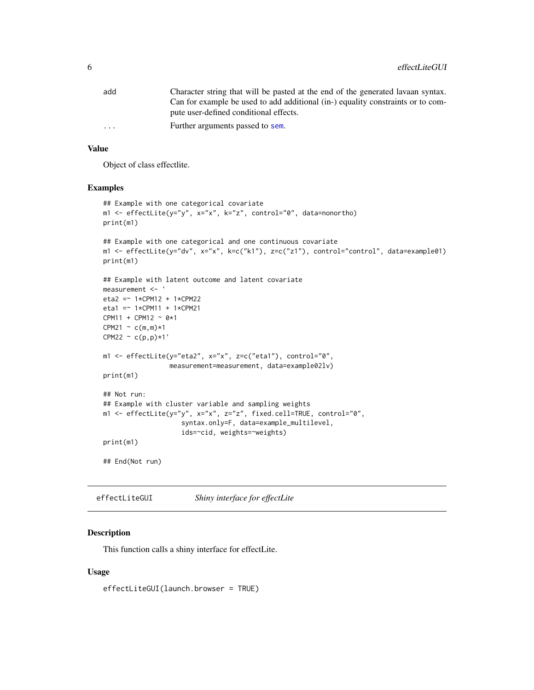<span id="page-5-0"></span>

| add                     | Character string that will be pasted at the end of the generated lavaan syntax. |
|-------------------------|---------------------------------------------------------------------------------|
|                         | Can for example be used to add additional (in-) equality constraints or to com- |
|                         | pute user-defined conditional effects.                                          |
| $\cdot$ $\cdot$ $\cdot$ | Further arguments passed to sem.                                                |
|                         |                                                                                 |

#### Value

Object of class effectlite.

#### Examples

```
## Example with one categorical covariate
m1 <- effectLite(y="y", x="x", k="z", control="0", data=nonortho)
print(m1)
## Example with one categorical and one continuous covariate
m1 <- effectLite(y="dv", x="x", k=c("k1"), z=c("z1"), control="control", data=example01)
print(m1)
## Example with latent outcome and latent covariate
measurement <- '
eta2 =~ 1*CPM12 + 1*CPM22
eta1 = * 1*CPM11 + 1*CPM21
CPM11 + CPM12 ~ 0*1
CPM21 \sim c(m,m)*1CPM22 \sim c(p,p) * 1'm1 <- effectLite(y="eta2", x="x", z=c("eta1"), control="0",
                 measurement=measurement, data=example02lv)
print(m1)
## Not run:
## Example with cluster variable and sampling weights
m1 <- effectLite(y="y", x="x", z="z", fixed.cell=TRUE, control="0",
                    syntax.only=F, data=example_multilevel,
                    ids=~cid, weights=~weights)
print(m1)
## End(Not run)
```
effectLiteGUI *Shiny interface for effectLite*

#### Description

This function calls a shiny interface for effectLite.

#### Usage

effectLiteGUI(launch.browser = TRUE)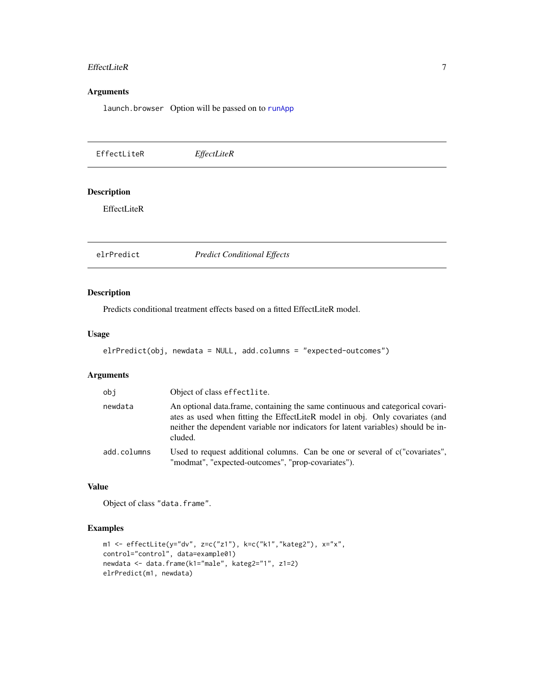#### <span id="page-6-0"></span>EffectLiteR 7

# Arguments

launch.browser Option will be passed on to [runApp](#page-0-0)

| EffectLiteR                       | EffectLiteR                        |
|-----------------------------------|------------------------------------|
| <b>Description</b><br>EffectLiteR |                                    |
| elrPredict                        | <b>Predict Conditional Effects</b> |

# Description

Predicts conditional treatment effects based on a fitted EffectLiteR model.

#### Usage

```
elrPredict(obj, newdata = NULL, add.columns = "expected-outcomes")
```
# Arguments

| obi         | Object of class effectlite.                                                                                                                                                                                                                                    |
|-------------|----------------------------------------------------------------------------------------------------------------------------------------------------------------------------------------------------------------------------------------------------------------|
| newdata     | An optional data frame, containing the same continuous and categorical covari-<br>ates as used when fitting the EffectLiteR model in obj. Only covariates (and<br>neither the dependent variable nor indicators for latent variables) should be in-<br>cluded. |
| add.columns | Used to request additional columns. Can be one or several of c("covariates",<br>"modmat", "expected-outcomes", "prop-covariates").                                                                                                                             |

# Value

Object of class "data.frame".

# Examples

```
m1 <- effectLite(y="dv", z=c("z1"), k=c("k1","kateg2"), x="x",
control="control", data=example01)
newdata <- data.frame(k1="male", kateg2="1", z1=2)
elrPredict(m1, newdata)
```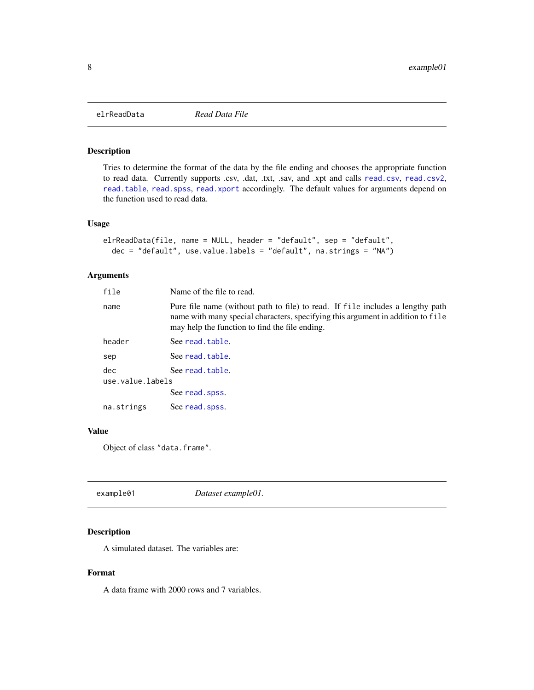<span id="page-7-0"></span>

#### Description

Tries to determine the format of the data by the file ending and chooses the appropriate function to read data. Currently supports .csv, .dat, .txt, .sav, and .xpt and calls [read.csv](#page-0-0), [read.csv2](#page-0-0), [read.table](#page-0-0), [read.spss](#page-0-0), [read.xport](#page-0-0) accordingly. The default values for arguments depend on the function used to read data.

#### Usage

```
elrReadData(file, name = NULL, header = "default", sep = "default",
 dec = "default", use.value.labels = "default", na.strings = "NA")
```
#### Arguments

| file             | Name of the file to read.                                                                                                                                                                                           |
|------------------|---------------------------------------------------------------------------------------------------------------------------------------------------------------------------------------------------------------------|
| name             | Pure file name (without path to file) to read. If file includes a lengthy path<br>name with many special characters, specifying this argument in addition to file<br>may help the function to find the file ending. |
| header           | See read.table.                                                                                                                                                                                                     |
| sep              | See read.table.                                                                                                                                                                                                     |
| dec              | See read.table.                                                                                                                                                                                                     |
| use.value.labels |                                                                                                                                                                                                                     |
|                  | See read. spss.                                                                                                                                                                                                     |
| na.strings       | See read. spss.                                                                                                                                                                                                     |
|                  |                                                                                                                                                                                                                     |

# Value

Object of class "data.frame".

| Dataset example01. | example01 |
|--------------------|-----------|
|--------------------|-----------|

# Description

A simulated dataset. The variables are:

#### Format

A data frame with 2000 rows and 7 variables.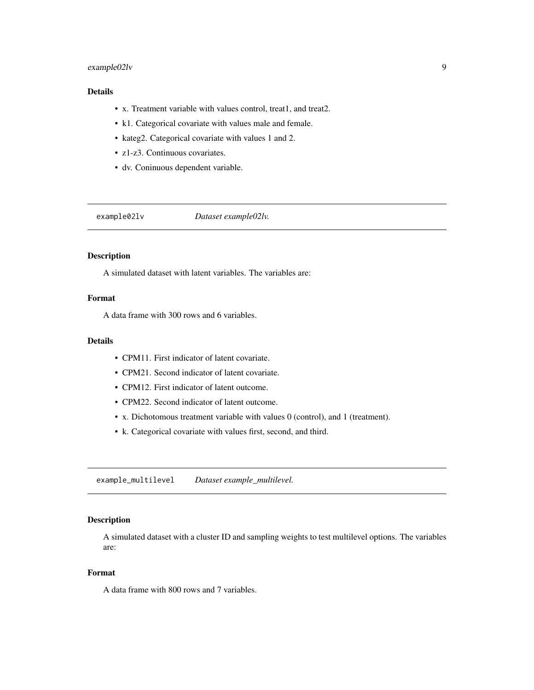# <span id="page-8-0"></span>example02lv 9

# Details

- x. Treatment variable with values control, treat1, and treat2.
- k1. Categorical covariate with values male and female.
- kateg2. Categorical covariate with values 1 and 2.
- z1-z3. Continuous covariates.
- dv. Coninuous dependent variable.

example02lv *Dataset example02lv.*

### Description

A simulated dataset with latent variables. The variables are:

### Format

A data frame with 300 rows and 6 variables.

#### Details

- CPM11. First indicator of latent covariate.
- CPM21. Second indicator of latent covariate.
- CPM12. First indicator of latent outcome.
- CPM22. Second indicator of latent outcome.
- x. Dichotomous treatment variable with values 0 (control), and 1 (treatment).
- k. Categorical covariate with values first, second, and third.

example\_multilevel *Dataset example\_multilevel.*

# Description

A simulated dataset with a cluster ID and sampling weights to test multilevel options. The variables are:

#### Format

A data frame with 800 rows and 7 variables.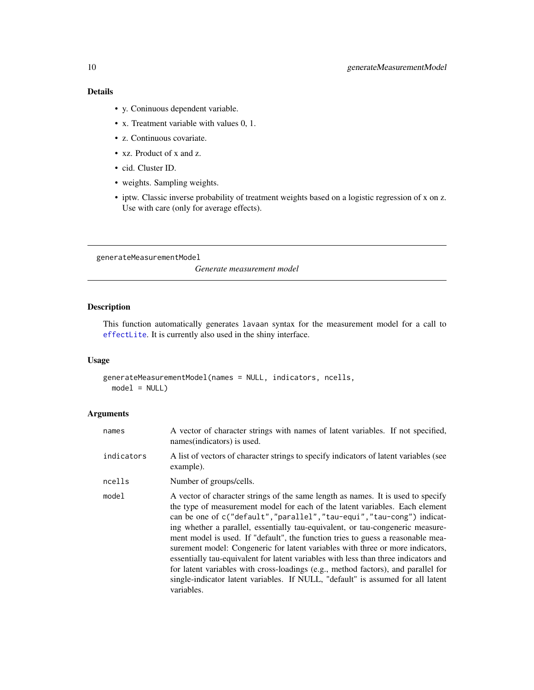# <span id="page-9-0"></span>10 generateMeasurementModel

# Details

- y. Coninuous dependent variable.
- x. Treatment variable with values 0, 1.
- z. Continuous covariate.
- xz. Product of x and z.
- cid. Cluster ID.
- weights. Sampling weights.
- iptw. Classic inverse probability of treatment weights based on a logistic regression of x on z. Use with care (only for average effects).

<span id="page-9-1"></span>generateMeasurementModel

*Generate measurement model*

# Description

This function automatically generates lavaan syntax for the measurement model for a call to [effectLite](#page-3-1). It is currently also used in the shiny interface.

# Usage

```
generateMeasurementModel(names = NULL, indicators, ncells,
 model = NULL)
```
# Arguments

| names      | A vector of character strings with names of latent variables. If not specified,<br>names(indicators) is used.                                                                                                                                                                                                                                                                                                                                                                                                                                                                                                                                                                                                                                                                |
|------------|------------------------------------------------------------------------------------------------------------------------------------------------------------------------------------------------------------------------------------------------------------------------------------------------------------------------------------------------------------------------------------------------------------------------------------------------------------------------------------------------------------------------------------------------------------------------------------------------------------------------------------------------------------------------------------------------------------------------------------------------------------------------------|
| indicators | A list of vectors of character strings to specify indicators of latent variables (see<br>example).                                                                                                                                                                                                                                                                                                                                                                                                                                                                                                                                                                                                                                                                           |
| ncells     | Number of groups/cells.                                                                                                                                                                                                                                                                                                                                                                                                                                                                                                                                                                                                                                                                                                                                                      |
| model      | A vector of character strings of the same length as names. It is used to specify<br>the type of measurement model for each of the latent variables. Each element<br>can be one of c("default","parallel","tau-equi","tau-cong") indicat-<br>ing whether a parallel, essentially tau-equivalent, or tau-congeneric measure-<br>ment model is used. If "default", the function tries to guess a reasonable mea-<br>surement model: Congeneric for latent variables with three or more indicators,<br>essentially tau-equivalent for latent variables with less than three indicators and<br>for latent variables with cross-loadings (e.g., method factors), and parallel for<br>single-indicator latent variables. If NULL, "default" is assumed for all latent<br>variables. |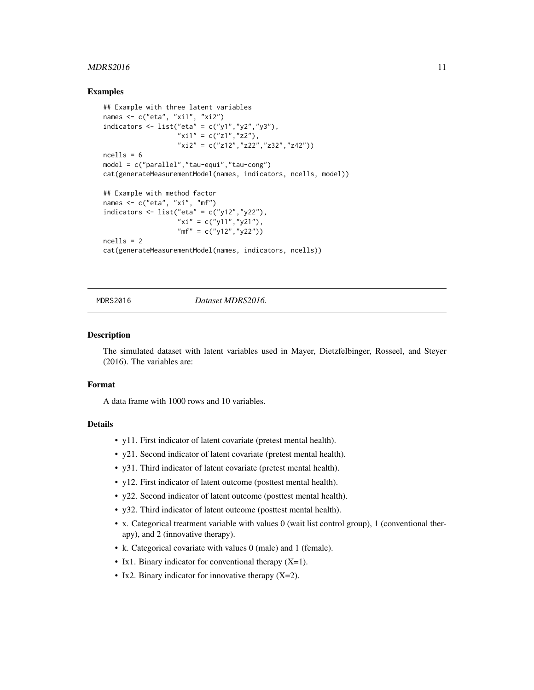#### <span id="page-10-0"></span> $MDRS2016$  11

#### Examples

```
## Example with three latent variables
names <- c("eta", "xi1", "xi2")
indicators <- list("eta" = c("y1", "y2", "y3"),
                   "x11" = c("z1", "z2"),
                   "xi2" = c("z12", "z22", "z32", "z42")ncells = 6model = c("parallel","tau-equi","tau-cong")
cat(generateMeasurementModel(names, indicators, ncells, model))
## Example with method factor
names <- c("eta", "xi", "mf")
indicators <- list("eta" = c("y12","y22"),
                   "xi'' = c("y11", "y21"),
                   "mf" = c("y12","y22"))
ncells = 2
cat(generateMeasurementModel(names, indicators, ncells))
```
# MDRS2016 *Dataset MDRS2016.*

#### **Description**

The simulated dataset with latent variables used in Mayer, Dietzfelbinger, Rosseel, and Steyer (2016). The variables are:

### Format

A data frame with 1000 rows and 10 variables.

#### Details

- y11. First indicator of latent covariate (pretest mental health).
- y21. Second indicator of latent covariate (pretest mental health).
- y31. Third indicator of latent covariate (pretest mental health).
- y12. First indicator of latent outcome (posttest mental health).
- y22. Second indicator of latent outcome (posttest mental health).
- y32. Third indicator of latent outcome (posttest mental health).
- x. Categorical treatment variable with values 0 (wait list control group), 1 (conventional therapy), and 2 (innovative therapy).
- k. Categorical covariate with values 0 (male) and 1 (female).
- Ix1. Binary indicator for conventional therapy  $(X=1)$ .
- Ix2. Binary indicator for innovative therapy  $(X=2)$ .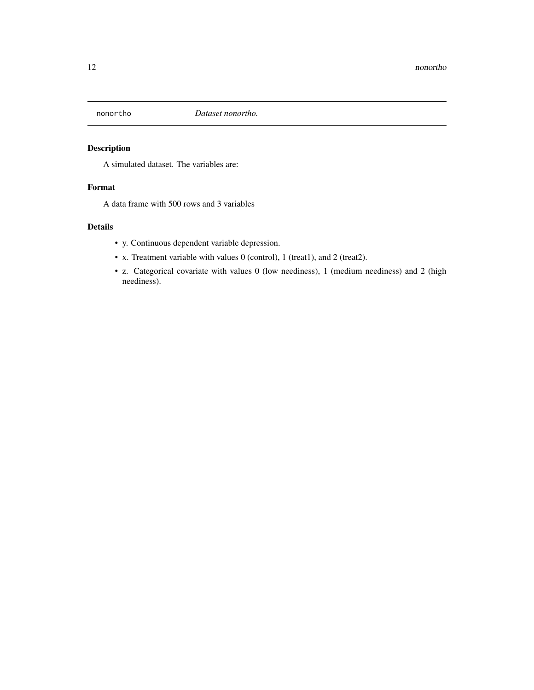<span id="page-11-0"></span>

# Description

A simulated dataset. The variables are:

# Format

A data frame with 500 rows and 3 variables

# Details

- y. Continuous dependent variable depression.
- x. Treatment variable with values 0 (control), 1 (treat1), and 2 (treat2).
- z. Categorical covariate with values 0 (low neediness), 1 (medium neediness) and 2 (high neediness).